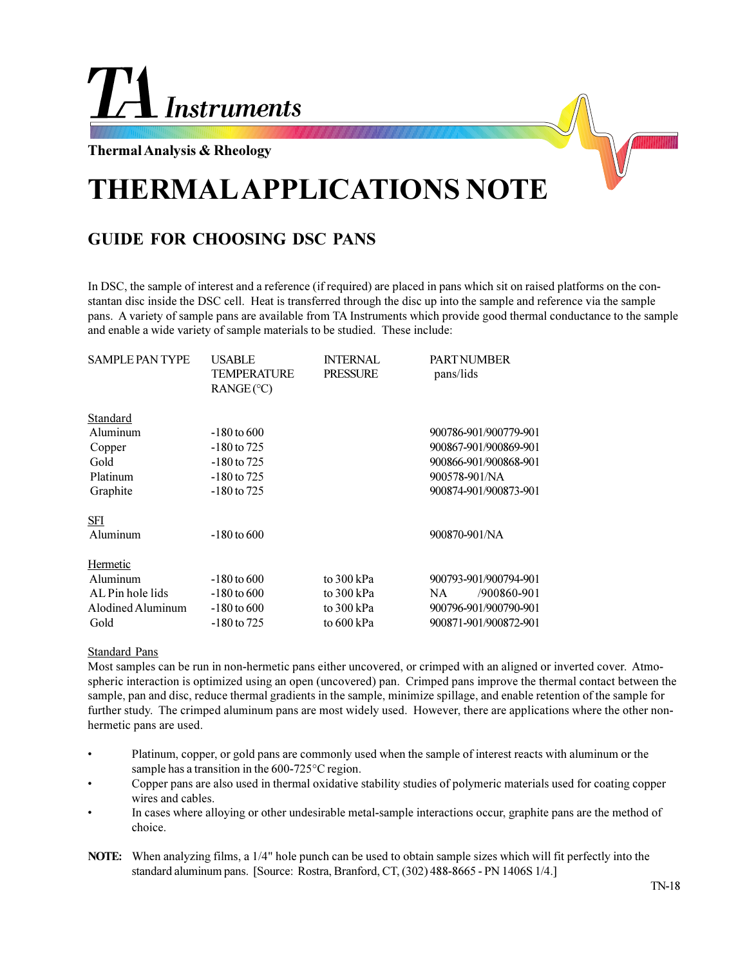

**Thermal Analysis & Rheology**

# **THERMAL APPLICATIONS NOTE**

# **GUIDE FOR CHOOSING DSC PANS**

In DSC, the sample of interest and a reference (if required) are placed in pans which sit on raised platforms on the constantan disc inside the DSC cell. Heat is transferred through the disc up into the sample and reference via the sample pans. A variety of sample pans are available from TA Instruments which provide good thermal conductance to the sample and enable a wide variety of sample materials to be studied. These include:

| <b>SAMPLE PAN TYPE</b> | <b>USABLE</b><br><b>TEMPERATURE</b><br>$RANGE(^{\circ}C)$ | <b>INTERNAL</b><br><b>PRESSURE</b> | <b>PART NUMBER</b><br>pans/lids |
|------------------------|-----------------------------------------------------------|------------------------------------|---------------------------------|
| <b>Standard</b>        |                                                           |                                    |                                 |
| Aluminum               | $-180$ to 600                                             |                                    | 900786-901/900779-901           |
| Copper                 | $-180$ to 725                                             |                                    | 900867-901/900869-901           |
| Gold                   | $-180$ to 725                                             |                                    | 900866-901/900868-901           |
| Platinum               | $-180$ to 725                                             |                                    | 900578-901/NA                   |
| Graphite               | $-180$ to 725                                             |                                    | 900874-901/900873-901           |
| SFI                    |                                                           |                                    |                                 |
| Aluminum               | $-180$ to 600                                             |                                    | 900870-901/NA                   |
| Hermetic               |                                                           |                                    |                                 |
| Aluminum               | $-180$ to 600                                             | to $300$ kPa                       | 900793-901/900794-901           |
| AL Pin hole lids       | $-180$ to 600                                             | to 300 kPa                         | /900860-901<br>NA               |
| Alodined Aluminum      | $-180$ to 600                                             | to 300 kPa                         | 900796-901/900790-901           |
| Gold                   | $-180$ to $725$                                           | to 600 kPa                         | 900871-901/900872-901           |
|                        |                                                           |                                    |                                 |

#### Standard Pans

Most samples can be run in non-hermetic pans either uncovered, or crimped with an aligned or inverted cover. Atmospheric interaction is optimized using an open (uncovered) pan. Crimped pans improve the thermal contact between the sample, pan and disc, reduce thermal gradients in the sample, minimize spillage, and enable retention of the sample for further study. The crimped aluminum pans are most widely used. However, there are applications where the other nonhermetic pans are used.

- Platinum, copper, or gold pans are commonly used when the sample of interest reacts with aluminum or the sample has a transition in the 600-725°C region.
- Copper pans are also used in thermal oxidative stability studies of polymeric materials used for coating copper wires and cables.
- In cases where alloying or other undesirable metal-sample interactions occur, graphite pans are the method of choice.
- **NOTE:** When analyzing films, a 1/4" hole punch can be used to obtain sample sizes which will fit perfectly into the standard aluminum pans. [Source: Rostra, Branford, CT, (302) 488-8665 - PN 1406S 1/4.]